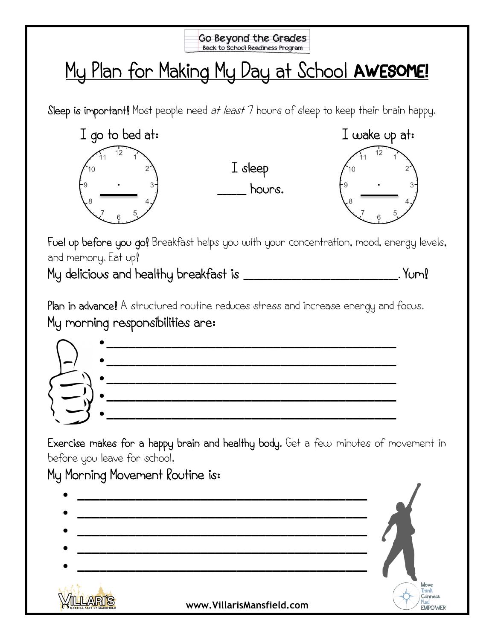

## My Plan for Making My Day at School AWESOME!

Sleep is important! Most people need *at least* 7 hours of sleep to keep their brain happy.



I sleep **\_\_\_\_\_\_** hours.



Fuel up before you go! Breakfast helps you with your concentration, mood, energy levels, and memory. Eat up!

My delicious and healthy breakfast is **\_\_\_\_\_\_\_\_\_\_\_\_\_\_\_\_\_\_\_\_\_\_\_\_\_\_\_\_\_\_\_\_.** Yum!

Plan in advance! A structured routine reduces stress and increase energy and focus. My morning responsibilities are:



Exercise makes for a happy brain and healthy body. Get a few minutes of movement in before you leave for school.

## My Morning Movement Routine is: